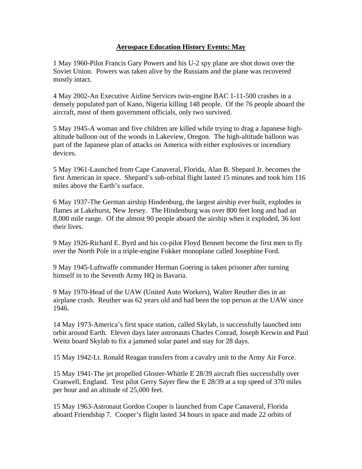## **Aerospace Education History Events: May**

1 May 1960-Pilot Francis Gary Powers and his U-2 spy plane are shot down over the Soviet Union. Powers was taken alive by the Russians and the plane was recovered mostly intact.

4 May 2002-An Executive Airline Services twin-engine BAC 1-11-500 crashes in a densely populated part of Kano, Nigeria killing 148 people. Of the 76 people aboard the aircraft, most of them government officials, only two survived.

5 May 1945-A woman and five children are killed while trying to drag a Japanese highaltitude balloon out of the woods in Lakeview, Oregon. The high-altitude balloon was part of the Japanese plan of attacks on America with either explosives or incendiary devices.

5 May 1961-Launched from Cape Canaveral, Florida, Alan B. Shepard Jr. becomes the first American in space. Shepard's sub-orbital flight lasted 15 minutes and took him 116 miles above the Earth's surface.

6 May 1937-The German airship Hindenburg, the largest airship ever built, explodes in flames at Lakehurst, New Jersey. The Hindenburg was over 800 feet long and had an 8,000 mile range. Of the almost 90 people aboard the airship when it exploded, 36 lost their lives.

9 May 1926-Richard E. Byrd and his co-pilot Floyd Bennett become the first men to fly over the North Pole in a triple-engine Fokker monoplane called Josephine Ford.

9 May 1945-Luftwaffe commander Herman Goering is taken prisoner after turning himself in to the Seventh Army HQ in Bavaria.

9 May 1970-Head of the UAW (United Auto Workers), Walter Reuther dies in an airplane crash. Reuther was 62 years old and had been the top person at the UAW since 1946.

14 May 1973-America's first space station, called Skylab, is successfully launched into orbit around Earth. Eleven days later astronauts Charles Conrad, Joseph Kerwin and Paul Weitz board Skylab to fix a jammed solar panel and stay for 28 days.

15 May 1942-Lt. Ronald Reagan transfers from a cavalry unit to the Army Air Force.

15 May 1941-The jet propelled Gloster-Whittle E 28/39 aircraft flies successfully over Cranwell, England. Test pilot Gerry Sayer flew the E 28/39 at a top speed of 370 miles per hour and an altitude of 25,000 feet.

15 May 1963-Astronaut Gordon Cooper is launched from Cape Canaveral, Florida aboard Friendship 7. Cooper's flight lasted 34 hours in space and made 22 orbits of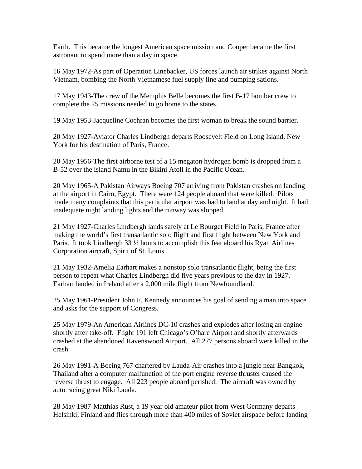Earth. This became the longest American space mission and Cooper became the first astronaut to spend more than a day in space.

16 May 1972-As part of Operation Linebacker, US forces launch air strikes against North Vietnam, bombing the North Vietnamese fuel supply line and pumping sations.

17 May 1943-The crew of the Memphis Belle becomes the first B-17 bomber crew to complete the 25 missions needed to go home to the states.

19 May 1953-Jacqueline Cochran becomes the first woman to break the sound barrier.

20 May 1927-Aviator Charles Lindbergh departs Roosevelt Field on Long Island, New York for his destination of Paris, France.

20 May 1956-The first airborne test of a 15 megaton hydrogen bomb is dropped from a B-52 over the island Namu in the Bikini Atoll in the Pacific Ocean.

20 May 1965-A Pakistan Airways Boeing 707 arriving from Pakistan crashes on landing at the airport in Cairo, Egypt. There were 124 people aboard that were killed. Pilots made many complaints that this particular airport was bad to land at day and night. It had inadequate night landing lights and the runway was slopped.

21 May 1927-Charles Lindbergh lands safely at Le Bourget Field in Paris, France after making the world's first transatlantic solo flight and first flight between New York and Paris. It took Lindbergh 33 ½ hours to accomplish this feat aboard his Ryan Airlines Corporation aircraft, Spirit of St. Louis.

21 May 1932-Amelia Earhart makes a nonstop solo transatlantic flight, being the first person to repeat what Charles Lindbergh did five years previous to the day in 1927. Earhart landed in Ireland after a 2,000 mile flight from Newfoundland.

25 May 1961-President John F. Kennedy announces his goal of sending a man into space and asks for the support of Congress.

25 May 1979-An American Airlines DC-10 crashes and explodes after losing an engine shortly after take-off. Flight 191 left Chicago's O'hare Airport and shortly afterwards crashed at the abandoned Ravenswood Airport. All 277 persons aboard were killed in the crash.

26 May 1991-A Boeing 767 chartered by Lauda-Air crashes into a jungle near Bangkok, Thailand after a computer malfunction of the port engine reverse thruster caused the reverse thrust to engage. All 223 people aboard perished. The aircraft was owned by auto racing great Niki Lauda.

28 May 1987-Matthias Rust, a 19 year old amateur pilot from West Germany departs Helsinki, Finland and flies through more than 400 miles of Soviet airspace before landing